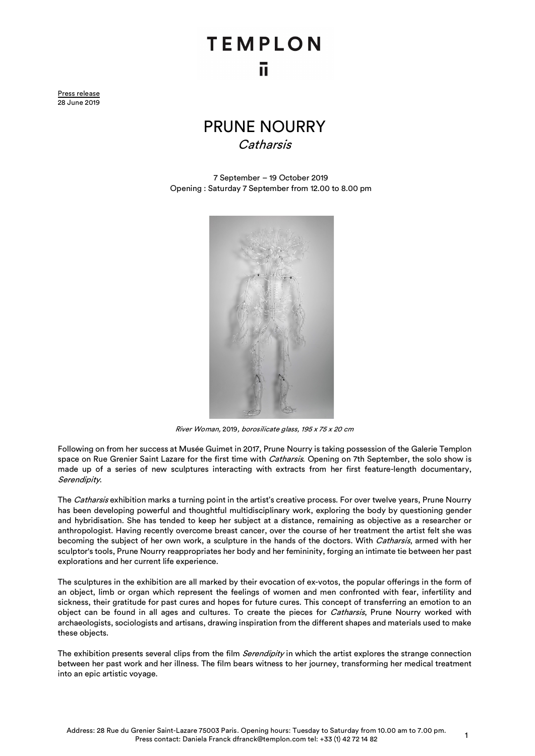## **TEMPLON** īī

Press release 28 June 2019

## PRUNE NOURRY **Catharsis**

7 September – 19 October 2019 Opening : Saturday 7 September from 12.00 to 8.00 pm



River Woman, 2019, borosilicate glass, 195 x 75 x 20 cm

Following on from her success at Musée Guimet in 2017, Prune Nourry is taking possession of the Galerie Templon space on Rue Grenier Saint Lazare for the first time with *Catharsis*. Opening on 7th September, the solo show is made up of a series of new sculptures interacting with extracts from her first feature-length documentary, Serendipity.

The Catharsis exhibition marks a turning point in the artist's creative process. For over twelve years, Prune Nourry has been developing powerful and thoughtful multidisciplinary work, exploring the body by questioning gender and hybridisation. She has tended to keep her subject at a distance, remaining as objective as a researcher or anthropologist. Having recently overcome breast cancer, over the course of her treatment the artist felt she was becoming the subject of her own work, a sculpture in the hands of the doctors. With Catharsis, armed with her sculptor's tools, Prune Nourry reappropriates her body and her femininity, forging an intimate tie between her past explorations and her current life experience.

The sculptures in the exhibition are all marked by their evocation of ex-votos, the popular offerings in the form of an object, limb or organ which represent the feelings of women and men confronted with fear, infertility and sickness, their gratitude for past cures and hopes for future cures. This concept of transferring an emotion to an object can be found in all ages and cultures. To create the pieces for Catharsis, Prune Nourry worked with archaeologists, sociologists and artisans, drawing inspiration from the different shapes and materials used to make these objects.

The exhibition presents several clips from the film Serendipity in which the artist explores the strange connection between her past work and her illness. The film bears witness to her journey, transforming her medical treatment into an epic artistic voyage.